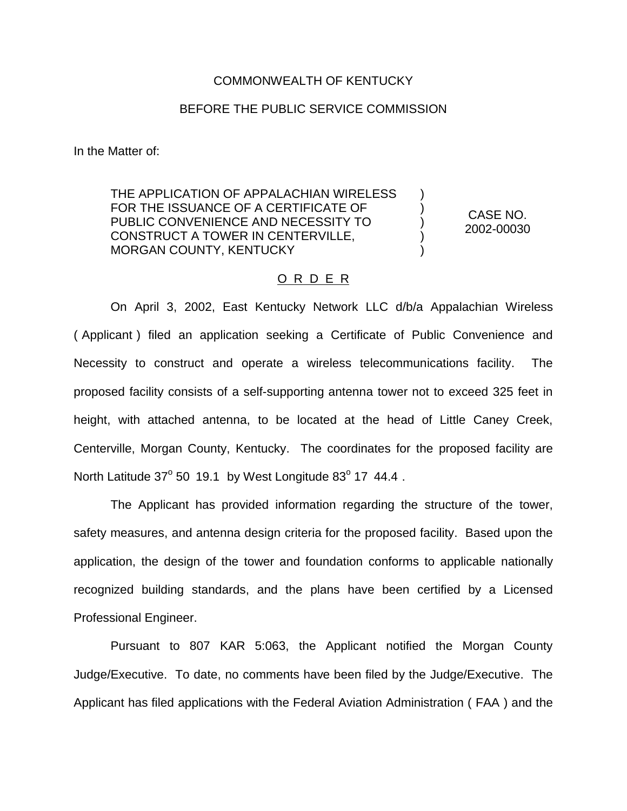## COMMONWEALTH OF KENTUCKY

## BEFORE THE PUBLIC SERVICE COMMISSION

In the Matter of:

THE APPLICATION OF APPALACHIAN WIRELESS FOR THE ISSUANCE OF A CERTIFICATE OF PUBLIC CONVENIENCE AND NECESSITY TO CONSTRUCT A TOWER IN CENTERVILLE, MORGAN COUNTY, KENTUCKY

CASE NO. 2002-00030

) ) ) ) )

## O R D E R

On April 3, 2002, East Kentucky Network LLC d/b/a Appalachian Wireless ( Applicant ) filed an application seeking a Certificate of Public Convenience and Necessity to construct and operate a wireless telecommunications facility. The proposed facility consists of a self-supporting antenna tower not to exceed 325 feet in height, with attached antenna, to be located at the head of Little Caney Creek, Centerville, Morgan County, Kentucky. The coordinates for the proposed facility are North Latitude  $37^{\circ}$  50 19.1 by West Longitude  $83^{\circ}$  17 44.4.

The Applicant has provided information regarding the structure of the tower, safety measures, and antenna design criteria for the proposed facility. Based upon the application, the design of the tower and foundation conforms to applicable nationally recognized building standards, and the plans have been certified by a Licensed Professional Engineer.

Pursuant to 807 KAR 5:063, the Applicant notified the Morgan County Judge/Executive. To date, no comments have been filed by the Judge/Executive. The Applicant has filed applications with the Federal Aviation Administration ( FAA ) and the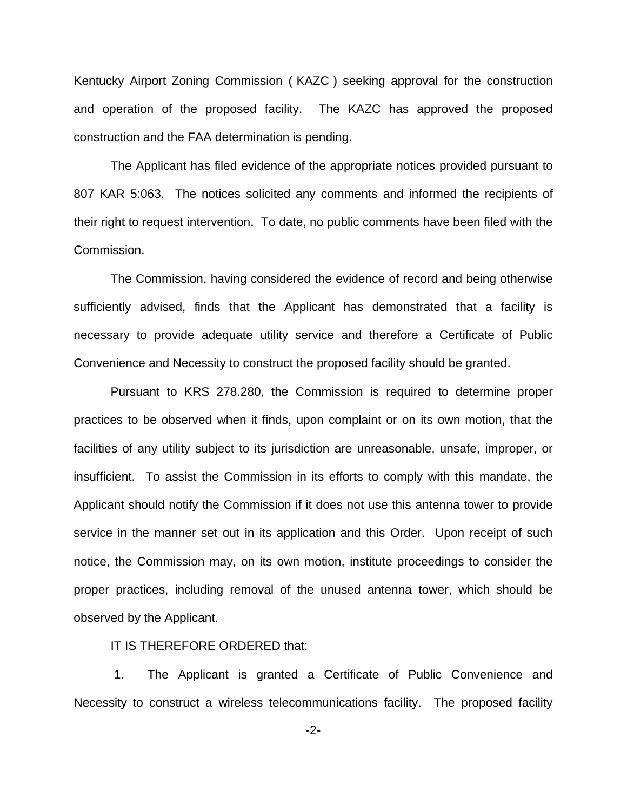Kentucky Airport Zoning Commission ( KAZC ) seeking approval for the construction and operation of the proposed facility. The KAZC has approved the proposed construction and the FAA determination is pending.

The Applicant has filed evidence of the appropriate notices provided pursuant to 807 KAR 5:063. The notices solicited any comments and informed the recipients of their right to request intervention. To date, no public comments have been filed with the Commission.

The Commission, having considered the evidence of record and being otherwise sufficiently advised, finds that the Applicant has demonstrated that a facility is necessary to provide adequate utility service and therefore a Certificate of Public Convenience and Necessity to construct the proposed facility should be granted.

Pursuant to KRS 278.280, the Commission is required to determine proper practices to be observed when it finds, upon complaint or on its own motion, that the facilities of any utility subject to its jurisdiction are unreasonable, unsafe, improper, or insufficient. To assist the Commission in its efforts to comply with this mandate, the Applicant should notify the Commission if it does not use this antenna tower to provide service in the manner set out in its application and this Order. Upon receipt of such notice, the Commission may, on its own motion, institute proceedings to consider the proper practices, including removal of the unused antenna tower, which should be observed by the Applicant.

## IT IS THEREFORE ORDERED that:

1. The Applicant is granted a Certificate of Public Convenience and Necessity to construct a wireless telecommunications facility. The proposed facility

-2-